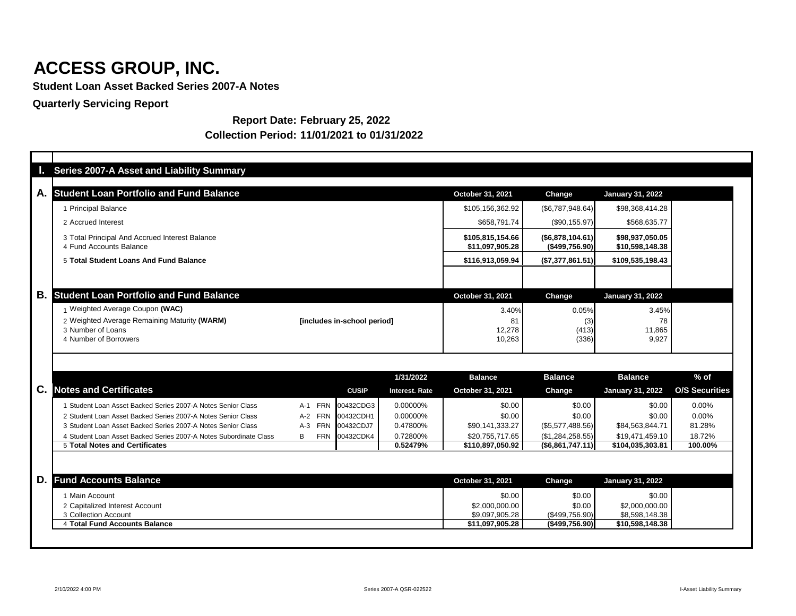**Student Loan Asset Backed Series 2007-A Notes**

**Quarterly Servicing Report**

### **Report Date: February 25, 2022 Collection Period: 11/01/2021 to 01/31/2022**

| <b>Series 2007-A Asset and Liability Summary</b>                          |                     |                             |                       |                                     |                                       |                                    |                       |
|---------------------------------------------------------------------------|---------------------|-----------------------------|-----------------------|-------------------------------------|---------------------------------------|------------------------------------|-----------------------|
| <b>Student Loan Portfolio and Fund Balance</b>                            |                     |                             |                       | October 31, 2021                    | <b>Change</b>                         | <b>January 31, 2022</b>            |                       |
| 1 Principal Balance                                                       |                     |                             |                       | \$105,156,362.92                    | (\$6,787,948.64)                      | \$98,368,414.28                    |                       |
| 2 Accrued Interest                                                        |                     |                             |                       | \$658,791.74                        | $(\$90,155.97)$                       | \$568,635.77                       |                       |
| 3 Total Principal And Accrued Interest Balance<br>4 Fund Accounts Balance |                     |                             |                       | \$105,815,154.66<br>\$11,097,905.28 | $($ \$6,878,104.61)<br>(\$499,756.90) | \$98,937,050.05<br>\$10,598,148.38 |                       |
| 5 Total Student Loans And Fund Balance                                    |                     |                             |                       | \$116,913,059.94                    | (\$7,377,861.51)                      | \$109,535,198.43                   |                       |
|                                                                           |                     |                             |                       |                                     |                                       |                                    |                       |
| <b>Student Loan Portfolio and Fund Balance</b>                            |                     |                             |                       | October 31, 2021                    | <b>Change</b>                         | <b>January 31, 2022</b>            |                       |
| 1 Weighted Average Coupon (WAC)                                           |                     |                             |                       | 3.40%                               | 0.05%                                 | 3.45%                              |                       |
| 2 Weighted Average Remaining Maturity (WARM)                              |                     | [includes in-school period] |                       | 81                                  | (3)                                   | 78                                 |                       |
| 3 Number of Loans<br>4 Number of Borrowers                                |                     |                             |                       | 12,278<br>10,263                    | (413)<br>(336)                        | 11,865<br>9,927                    |                       |
|                                                                           |                     |                             | 1/31/2022             | <b>Balance</b>                      | <b>Balance</b>                        | <b>Balance</b>                     | $%$ of                |
| <b>Notes and Certificates</b>                                             |                     | <b>CUSIP</b>                | <b>Interest. Rate</b> | October 31, 2021                    | <b>Change</b>                         | <b>January 31, 2022</b>            | <b>O/S Securities</b> |
| 1 Student Loan Asset Backed Series 2007-A Notes Senior Class              | A-1 FRN             | 00432CDG3                   | 0.00000%              | \$0.00                              | \$0.00                                | \$0.00                             | 0.00%                 |
| 2 Student Loan Asset Backed Series 2007-A Notes Senior Class              | A-2 FRN             | 00432CDH1                   | 0.00000%              | \$0.00                              | \$0.00                                | \$0.00                             | $0.00\%$              |
| 3 Student Loan Asset Backed Series 2007-A Notes Senior Class              | <b>FRN</b><br>$A-3$ | 00432CDJ7                   | 0.47800%              | \$90,141,333.27                     | $(\$5,577,488.56)$                    | \$84,563,844.71                    | 81.28%                |
| 4 Student Loan Asset Backed Series 2007-A Notes Subordinate Class         | <b>FRN</b><br>B     | 00432CDK4                   | 0.72800%              | \$20,755,717.65                     | (\$1,284,258.55)                      | \$19,471,459.10                    | 18.72%                |
| 5 Total Notes and Certificates                                            |                     |                             | 0.52479%              | \$110,897,050.92                    | (\$6,861,747.11)                      | \$104,035,303.81                   | 100.00%               |
| <b>Fund Accounts Balance</b>                                              |                     |                             |                       | October 31, 2021                    | Change                                | <b>January 31, 2022</b>            |                       |
|                                                                           |                     |                             |                       | \$0.00                              | \$0.00                                | \$0.00                             |                       |
| 1 Main Account                                                            |                     |                             |                       | \$2,000,000.00                      | \$0.00                                | \$2,000,000.00                     |                       |
| 2 Capitalized Interest Account                                            |                     |                             |                       |                                     |                                       |                                    |                       |
| 3 Collection Account<br>4 Total Fund Accounts Balance                     |                     |                             |                       | \$9,097,905.28<br>\$11,097,905.28   | $(\$499,756.90)$<br>(\$499,756.90)    | \$8,598,148.38<br>\$10,598,148.38  |                       |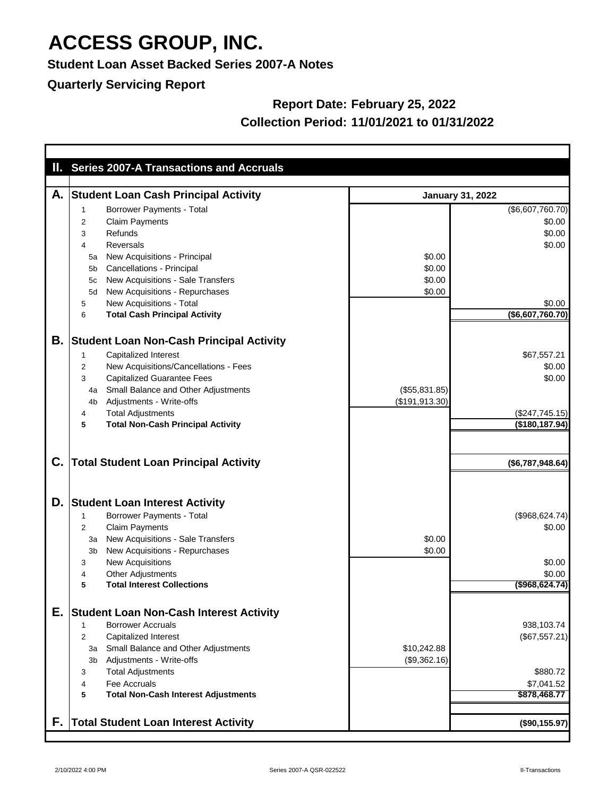#### **Student Loan Asset Backed Series 2007-A Notes**

### **Quarterly Servicing Report**

### **Report Date: February 25, 2022 Collection Period: 11/01/2021 to 01/31/2022**

|    | II. Series 2007-A Transactions and Accruals          |                         |                            |
|----|------------------------------------------------------|-------------------------|----------------------------|
|    |                                                      |                         |                            |
| А. | <b>Student Loan Cash Principal Activity</b>          | <b>January 31, 2022</b> |                            |
|    | <b>Borrower Payments - Total</b><br>1                |                         | (\$6,607,760.70)           |
|    | <b>Claim Payments</b><br>2                           |                         | \$0.00                     |
|    | Refunds<br>3                                         |                         | \$0.00                     |
|    | <b>Reversals</b><br>4                                |                         | \$0.00                     |
|    | New Acquisitions - Principal<br>5a                   | \$0.00                  |                            |
|    | <b>Cancellations - Principal</b><br>5b               | \$0.00                  |                            |
|    | New Acquisitions - Sale Transfers<br>5c              | \$0.00                  |                            |
|    | New Acquisitions - Repurchases<br>5d                 | \$0.00                  |                            |
|    | New Acquisitions - Total<br>5                        |                         | \$0.00<br>(\$6,607,760.70) |
|    | <b>Total Cash Principal Activity</b><br>6            |                         |                            |
| В. | <b>Student Loan Non-Cash Principal Activity</b>      |                         |                            |
|    | <b>Capitalized Interest</b><br>$\mathbf 1$           |                         | \$67,557.21                |
|    | New Acquisitions/Cancellations - Fees<br>2           |                         | \$0.00                     |
|    | <b>Capitalized Guarantee Fees</b><br>3               |                         | \$0.00                     |
|    | <b>Small Balance and Other Adjustments</b><br>4a     | $($ \$55,831.85) $ $    |                            |
|    | Adjustments - Write-offs<br>4b                       | (\$191, 913.30)         |                            |
|    | <b>Total Adjustments</b><br>4                        |                         | (\$247,745.15)             |
|    | <b>Total Non-Cash Principal Activity</b><br>5        |                         | (\$180, 187.94)            |
|    |                                                      |                         |                            |
| C. | <b>Total Student Loan Principal Activity</b>         |                         | (\$6,787,948.64)           |
| D. | <b>Student Loan Interest Activity</b>                |                         |                            |
|    | <b>Borrower Payments - Total</b><br>1                |                         | (\$968, 624.74)            |
|    | <b>Claim Payments</b><br>$\overline{2}$              |                         | \$0.00                     |
|    | New Acquisitions - Sale Transfers<br>3a              | \$0.00                  |                            |
|    | New Acquisitions - Repurchases<br>3 <sub>b</sub>     | \$0.00                  |                            |
|    | <b>New Acquisitions</b><br>3                         |                         | \$0.00                     |
|    | <b>Other Adjustments</b><br>4                        |                         | \$0.00                     |
|    | <b>Total Interest Collections</b><br>5               |                         | $($ \$968,624.74 $)$       |
| Е. |                                                      |                         |                            |
|    | <b>Student Loan Non-Cash Interest Activity</b>       |                         |                            |
|    | <b>Borrower Accruals</b><br>1                        |                         | 938,103.74                 |
|    | <b>Capitalized Interest</b><br>$\overline{2}$        |                         | (\$67,557.21)              |
|    | Small Balance and Other Adjustments<br>За            | \$10,242.88             |                            |
|    | Adjustments - Write-offs<br>3 <sub>b</sub>           | (\$9,362.16)            |                            |
|    | <b>Total Adjustments</b><br>3<br>Fee Accruals        |                         | \$880.72<br>\$7,041.52     |
|    | 4<br><b>Total Non-Cash Interest Adjustments</b><br>5 |                         | \$878,468.77               |
|    |                                                      |                         |                            |
| F. | Total Student Loan Interest Activity                 |                         | (\$90,155.97)              |
|    |                                                      |                         |                            |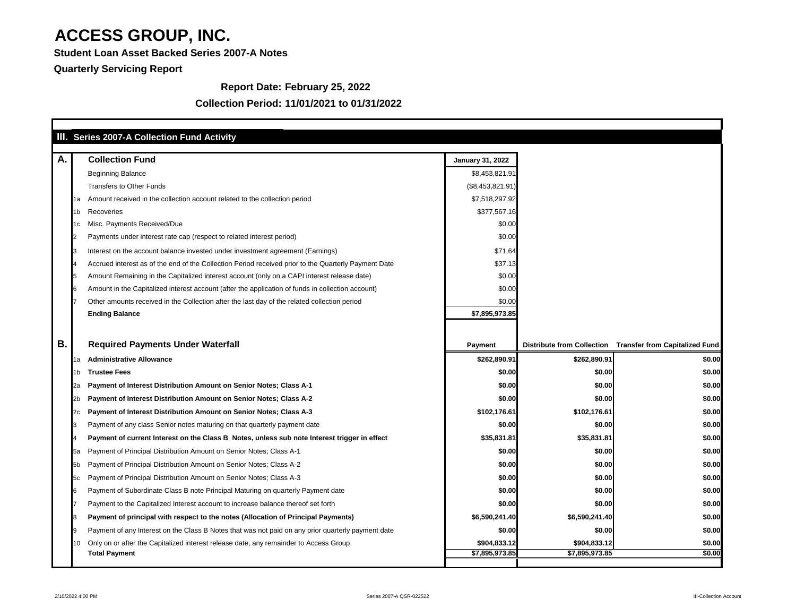**Student Loan Asset Backed Series 2007-A Notes**

### **Quarterly Servicing Report**

T

### **Collection Period: 11/01/2021 to 01/31/2022**

#### **Report Date: February 25, 2022**

| <b>Collection Fund</b><br>Α.<br><b>January 31, 2022</b><br><b>Beginning Balance</b><br>\$8,453,821.91<br><b>Transfers to Other Funds</b><br>(\$8,453,821.91)<br>Amount received in the collection account related to the collection period<br>\$7,518,297.92<br>1a<br>\$377,567.16<br>Recoveries<br>1b.<br>Misc. Payments Received/Due<br>\$0.00<br>1C |                                       |
|--------------------------------------------------------------------------------------------------------------------------------------------------------------------------------------------------------------------------------------------------------------------------------------------------------------------------------------------------------|---------------------------------------|
|                                                                                                                                                                                                                                                                                                                                                        |                                       |
|                                                                                                                                                                                                                                                                                                                                                        |                                       |
|                                                                                                                                                                                                                                                                                                                                                        |                                       |
|                                                                                                                                                                                                                                                                                                                                                        |                                       |
|                                                                                                                                                                                                                                                                                                                                                        |                                       |
|                                                                                                                                                                                                                                                                                                                                                        |                                       |
| \$0.00<br>Payments under interest rate cap (respect to related interest period)                                                                                                                                                                                                                                                                        |                                       |
| \$71.64<br>Interest on the account balance invested under investment agreement (Earnings)                                                                                                                                                                                                                                                              |                                       |
| Accrued interest as of the end of the Collection Period received prior to the Quarterly Payment Date<br>\$37.13                                                                                                                                                                                                                                        |                                       |
| Amount Remaining in the Capitalized interest account (only on a CAPI interest release date)<br>\$0.00                                                                                                                                                                                                                                                  |                                       |
| \$0.00<br>Amount in the Capitalized interest account (after the application of funds in collection account)                                                                                                                                                                                                                                            |                                       |
| Other amounts received in the Collection after the last day of the related collection period<br>\$0.00                                                                                                                                                                                                                                                 |                                       |
| <b>Ending Balance</b><br>\$7,895,973.85                                                                                                                                                                                                                                                                                                                |                                       |
|                                                                                                                                                                                                                                                                                                                                                        |                                       |
| Β.<br><b>Required Payments Under Waterfall</b><br><b>Distribute from Collection</b><br><b>Payment</b>                                                                                                                                                                                                                                                  | <b>Transfer from Capitalized Fund</b> |
| <b>Administrative Allowance</b><br>\$262,890.91<br>\$262,890.91<br>1а                                                                                                                                                                                                                                                                                  | \$0.00                                |
| \$0.00<br><b>Trustee Fees</b><br>\$0.00<br>1b.                                                                                                                                                                                                                                                                                                         | \$0.00                                |
| Payment of Interest Distribution Amount on Senior Notes; Class A-1<br>\$0.00<br>\$0.00<br>iza.                                                                                                                                                                                                                                                         | \$0.00                                |
| Payment of Interest Distribution Amount on Senior Notes; Class A-2<br>\$0.00<br>\$0.00                                                                                                                                                                                                                                                                 | \$0.00                                |
| Payment of Interest Distribution Amount on Senior Notes; Class A-3<br>\$102,176.61<br>\$102,176.61                                                                                                                                                                                                                                                     | \$0.00                                |
| \$0.00<br>\$0.00<br>Payment of any class Senior notes maturing on that quarterly payment date                                                                                                                                                                                                                                                          | \$0.00                                |
| \$35,831.81<br>Payment of current Interest on the Class B Notes, unless sub note Interest trigger in effect<br>\$35,831.81                                                                                                                                                                                                                             | \$0.00                                |
| Payment of Principal Distribution Amount on Senior Notes; Class A-1<br>\$0.00<br>\$0.00<br>lba                                                                                                                                                                                                                                                         | \$0.00                                |
| Payment of Principal Distribution Amount on Senior Notes; Class A-2<br>\$0.00<br>\$0.00<br>I5D.                                                                                                                                                                                                                                                        | \$0.00                                |
| Payment of Principal Distribution Amount on Senior Notes; Class A-3<br>\$0.00<br>\$0.00<br>15c                                                                                                                                                                                                                                                         | \$0.00                                |
| Payment of Subordinate Class B note Principal Maturing on quarterly Payment date<br>\$0.00<br>\$0.00<br>16                                                                                                                                                                                                                                             | \$0.00                                |
| Payment to the Capitalized Interest account to increase balance thereof set forth<br>\$0.00<br>\$0.00                                                                                                                                                                                                                                                  | \$0.00                                |
| \$6,590,241.40<br>\$6,590,241.40<br>Payment of principal with respect to the notes (Allocation of Principal Payments)                                                                                                                                                                                                                                  | \$0.00                                |
| \$0.00<br>Payment of any Interest on the Class B Notes that was not paid on any prior quarterly payment date<br>\$0.00                                                                                                                                                                                                                                 | \$0.00                                |
| Only on or after the Capitalized interest release date, any remainder to Access Group.<br>\$904,833.12<br>\$904,833.12                                                                                                                                                                                                                                 | \$0.00                                |
| \$7,895,973.85<br>\$7,895,973.85<br><b>Total Payment</b>                                                                                                                                                                                                                                                                                               | \$0.00                                |

٦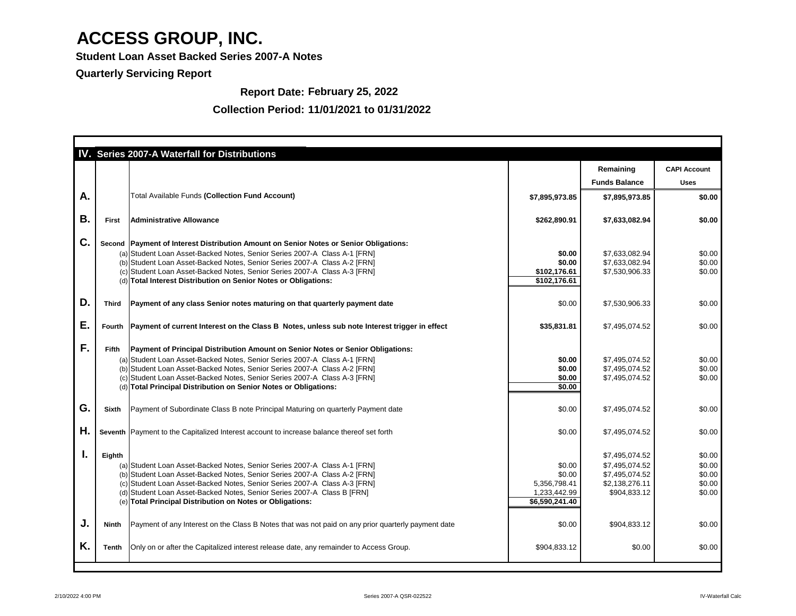**Student Loan Asset Backed Series 2007-A Notes**

**Quarterly Servicing Report**

#### **Collection Period: 11/01/2021 to 01/31/2022**

#### **Report Date: February 25, 2022**

|           |              | IV. Series 2007-A Waterfall for Distributions                                                                                                                                                                                                                                                                                                                                                     |                                                                    |                                                                                      |                                                |
|-----------|--------------|---------------------------------------------------------------------------------------------------------------------------------------------------------------------------------------------------------------------------------------------------------------------------------------------------------------------------------------------------------------------------------------------------|--------------------------------------------------------------------|--------------------------------------------------------------------------------------|------------------------------------------------|
|           |              |                                                                                                                                                                                                                                                                                                                                                                                                   |                                                                    | Remaining                                                                            | <b>CAPI Account</b>                            |
|           |              |                                                                                                                                                                                                                                                                                                                                                                                                   |                                                                    | <b>Funds Balance</b>                                                                 | <b>Uses</b>                                    |
| A.        |              | Total Available Funds (Collection Fund Account)                                                                                                                                                                                                                                                                                                                                                   | \$7,895,973.85                                                     | \$7,895,973.85                                                                       | \$0.00                                         |
| <b>B.</b> | <b>First</b> | <b>Administrative Allowance</b>                                                                                                                                                                                                                                                                                                                                                                   | \$262,890.91                                                       | \$7,633,082.94                                                                       | \$0.00                                         |
| C.        |              | Second   Payment of Interest Distribution Amount on Senior Notes or Senior Obligations:<br>(a) Student Loan Asset-Backed Notes, Senior Series 2007-A Class A-1 [FRN]<br>(b) Student Loan Asset-Backed Notes, Senior Series 2007-A Class A-2 [FRN]<br>(c) Student Loan Asset-Backed Notes, Senior Series 2007-A Class A-3 [FRN]<br>(d) Total Interest Distribution on Senior Notes or Obligations: | \$0.00<br>\$0.00<br>\$102,176.61<br>\$102,176.61                   | \$7,633,082.94<br>\$7,633,082.94<br>\$7,530,906.33                                   | \$0.00<br>\$0.00<br>\$0.00                     |
| D.        | <b>Third</b> | Payment of any class Senior notes maturing on that quarterly payment date                                                                                                                                                                                                                                                                                                                         | \$0.00                                                             | \$7,530,906.33                                                                       | \$0.00                                         |
| Е.        |              | Fourth   Payment of current Interest on the Class B Notes, unless sub note Interest trigger in effect                                                                                                                                                                                                                                                                                             | \$35,831.81                                                        | \$7,495,074.52                                                                       | \$0.00                                         |
| F.        | <b>Fifth</b> | <b>Payment of Principal Distribution Amount on Senior Notes or Senior Obligations:</b><br>(a) Student Loan Asset-Backed Notes, Senior Series 2007-A Class A-1 [FRN]<br>(b) Student Loan Asset-Backed Notes, Senior Series 2007-A Class A-2 [FRN]<br>(c) Student Loan Asset-Backed Notes, Senior Series 2007-A Class A-3 [FRN]<br>(d) Total Principal Distribution on Senior Notes or Obligations: | \$0.00<br>\$0.00<br>\$0.00<br>\$0.00                               | \$7,495,074.52<br>\$7,495,074.52<br>\$7,495,074.52                                   | \$0.00<br>\$0.00<br>\$0.00                     |
| G.        | Sixth        | Payment of Subordinate Class B note Principal Maturing on quarterly Payment date                                                                                                                                                                                                                                                                                                                  | \$0.00                                                             | \$7,495,074.52                                                                       | \$0.00                                         |
| Н.        |              | Seventh Payment to the Capitalized Interest account to increase balance thereof set forth                                                                                                                                                                                                                                                                                                         | \$0.00                                                             | \$7,495,074.52                                                                       | \$0.00                                         |
| ι.        | Eighth       | (a) Student Loan Asset-Backed Notes, Senior Series 2007-A Class A-1 [FRN]<br>(b) Student Loan Asset-Backed Notes, Senior Series 2007-A Class A-2 [FRN]<br>(c) Student Loan Asset-Backed Notes, Senior Series 2007-A Class A-3 [FRN]<br>(d) Student Loan Asset-Backed Notes, Senior Series 2007-A Class B [FRN]<br>(e) Total Principal Distribution on Notes or Obligations:                       | \$0.00<br>\$0.00<br>5,356,798.41<br>1,233,442.99<br>\$6,590,241.40 | \$7,495,074.52<br>\$7,495,074.52<br>\$7,495,074.52<br>\$2,138,276.11<br>\$904,833.12 | \$0.00<br>\$0.00<br>\$0.00<br>\$0.00<br>\$0.00 |
| J.        | Ninth        | Payment of any Interest on the Class B Notes that was not paid on any prior quarterly payment date                                                                                                                                                                                                                                                                                                | \$0.00                                                             | \$904,833.12                                                                         | \$0.00                                         |
| K.        | <b>Tenth</b> | Only on or after the Capitalized interest release date, any remainder to Access Group.                                                                                                                                                                                                                                                                                                            | \$904,833.12                                                       | \$0.00                                                                               | \$0.00                                         |
|           |              |                                                                                                                                                                                                                                                                                                                                                                                                   |                                                                    |                                                                                      |                                                |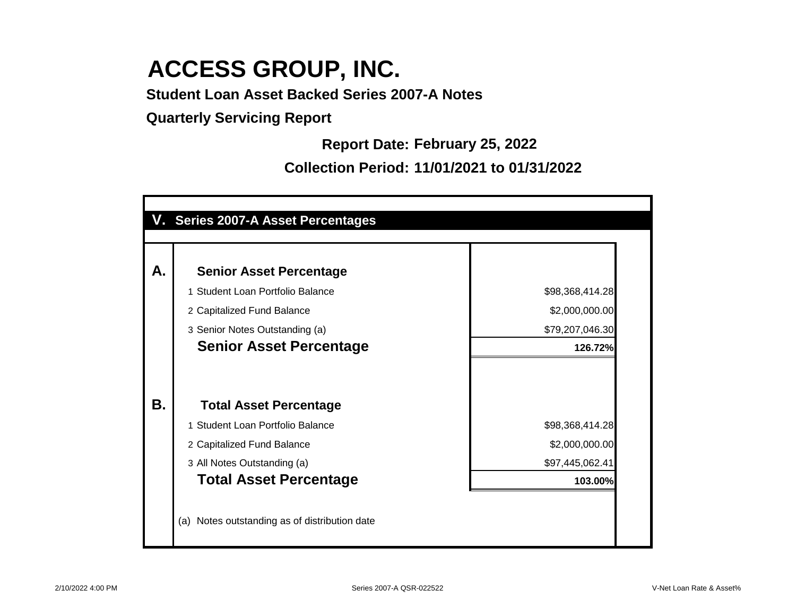**Student Loan Asset Backed Series 2007-A Notes**

**Quarterly Servicing Report**

**Report Date: February 25, 2022**

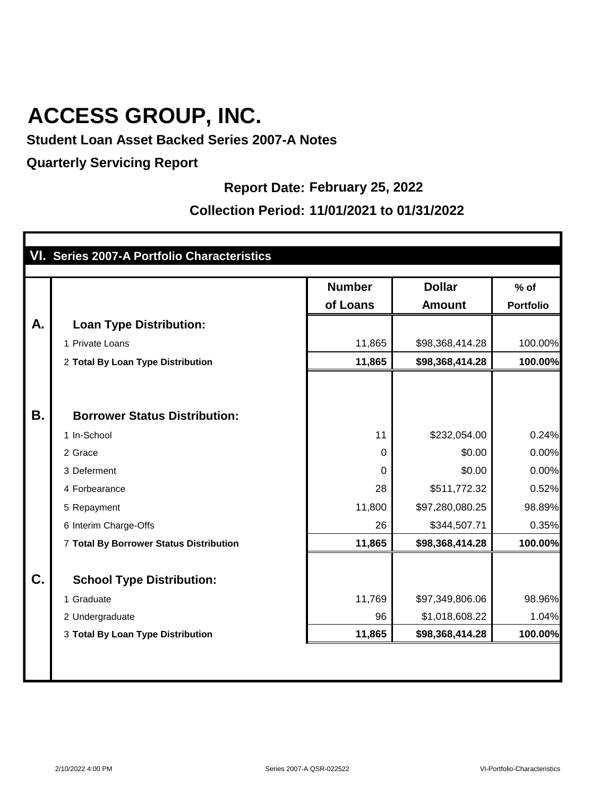**Student Loan Asset Backed Series 2007-A Notes**

**Quarterly Servicing Report**

#### **Report Date: February 25, 2022**

|           | VI. Series 2007-A Portfolio Characteristics |               |                 |                  |
|-----------|---------------------------------------------|---------------|-----------------|------------------|
|           |                                             | <b>Number</b> | <b>Dollar</b>   | $%$ of           |
|           |                                             | of Loans      | <b>Amount</b>   | <b>Portfolio</b> |
| A.        | <b>Loan Type Distribution:</b>              |               |                 |                  |
|           | 1 Private Loans                             | 11,865        | \$98,368,414.28 | 100.00%          |
|           | 2 Total By Loan Type Distribution           | 11,865        | \$98,368,414.28 | 100.00%          |
|           |                                             |               |                 |                  |
| <b>B.</b> | <b>Borrower Status Distribution:</b>        |               |                 |                  |
|           | 1 In-School                                 | 11            | \$232,054.00    | 0.24%            |
|           | 2 Grace                                     | $\mathbf 0$   | \$0.00          | 0.00%            |
|           | 3 Deferment                                 | 0             | \$0.00          | 0.00%            |
|           | 4 Forbearance                               | 28            | \$511,772.32    | 0.52%            |
|           | 5 Repayment                                 | 11,800        | \$97,280,080.25 | 98.89%           |
|           | 6 Interim Charge-Offs                       | 26            | \$344,507.71    | 0.35%            |
|           | 7 Total By Borrower Status Distribution     | 11,865        | \$98,368,414.28 | 100.00%          |
| C.        | <b>School Type Distribution:</b>            |               |                 |                  |
|           | 1 Graduate                                  | 11,769        | \$97,349,806.06 | 98.96%           |
|           | 2 Undergraduate                             | 96            | \$1,018,608.22  | 1.04%            |
|           | 3 Total By Loan Type Distribution           | 11,865        | \$98,368,414.28 | 100.00%          |
|           |                                             |               |                 |                  |
|           |                                             |               |                 |                  |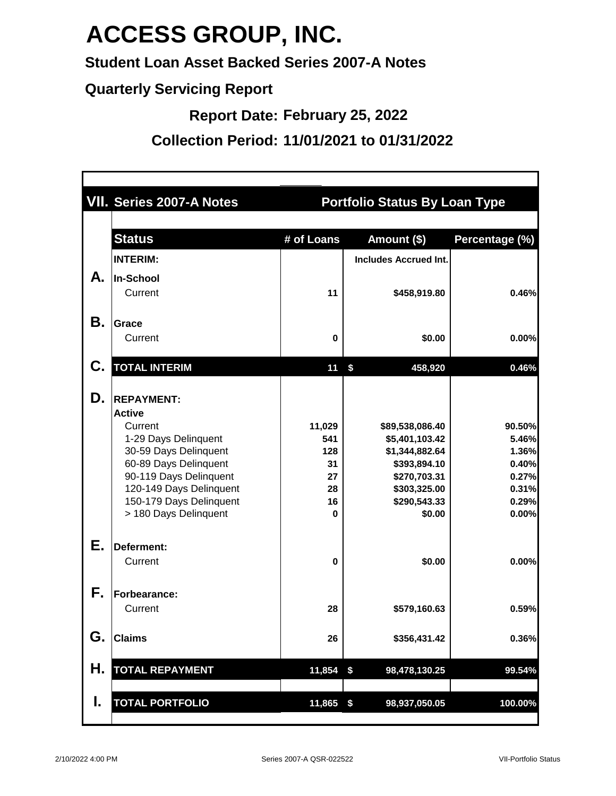**Student Loan Asset Backed Series 2007-A Notes**

**Quarterly Servicing Report**

**Report Date: February 25, 2022**

|    | <b>VII. Series 2007-A Notes</b>                   | <b>Portfolio Status By Loan Type</b> |                              |                |  |  |
|----|---------------------------------------------------|--------------------------------------|------------------------------|----------------|--|--|
|    | <b>Status</b>                                     | # of Loans                           | Amount (\$)                  | Percentage (%) |  |  |
|    | <b>INTERIM:</b>                                   |                                      | <b>Includes Accrued Int.</b> |                |  |  |
| А. | <b>In-School</b>                                  |                                      |                              |                |  |  |
|    | Current                                           | 11                                   | \$458,919.80                 | 0.46%          |  |  |
| Β. | <b>Grace</b>                                      |                                      |                              |                |  |  |
|    | Current                                           | $\bf{0}$                             | \$0.00                       | 0.00%          |  |  |
| С. | <b>TOTAL INTERIM</b>                              | 11                                   | \$<br>458,920                | 0.46%          |  |  |
| D. | <b>REPAYMENT:</b>                                 |                                      |                              |                |  |  |
|    | <b>Active</b>                                     |                                      |                              |                |  |  |
|    | Current                                           | 11,029                               | \$89,538,086.40              | 90.50%         |  |  |
|    | 1-29 Days Delinquent                              | 541                                  | \$5,401,103.42               | 5.46%          |  |  |
|    | 30-59 Days Delinquent                             | 128                                  | \$1,344,882.64               | 1.36%          |  |  |
|    | 60-89 Days Delinquent                             | 31                                   | \$393,894.10                 | 0.40%          |  |  |
|    | 90-119 Days Delinquent<br>120-149 Days Delinquent | 27<br>28                             | \$270,703.31<br>\$303,325.00 | 0.27%<br>0.31% |  |  |
|    | 150-179 Days Delinquent                           | 16                                   | \$290,543.33                 | 0.29%          |  |  |
|    | > 180 Days Delinquent                             | $\bf{0}$                             | \$0.00                       | 0.00%          |  |  |
| Е. | Deferment:                                        |                                      |                              |                |  |  |
|    | Current                                           | $\bf{0}$                             | \$0.00                       | 0.00%          |  |  |
| Þ. | Forbearance:                                      |                                      |                              |                |  |  |
|    | Current                                           | 28                                   | \$579,160.63                 | 0.59%          |  |  |
| G. | <b>Claims</b>                                     | 26                                   | \$356,431.42                 | 0.36%          |  |  |
| Η. | <b>TOTAL REPAYMENT</b>                            | 11,854                               | \$<br>98,478,130.25          | 99.54%         |  |  |
| I. | <b>TOTAL PORTFOLIO</b>                            | 11,865                               | \$<br>98,937,050.05          | 100.00%        |  |  |
|    |                                                   |                                      |                              |                |  |  |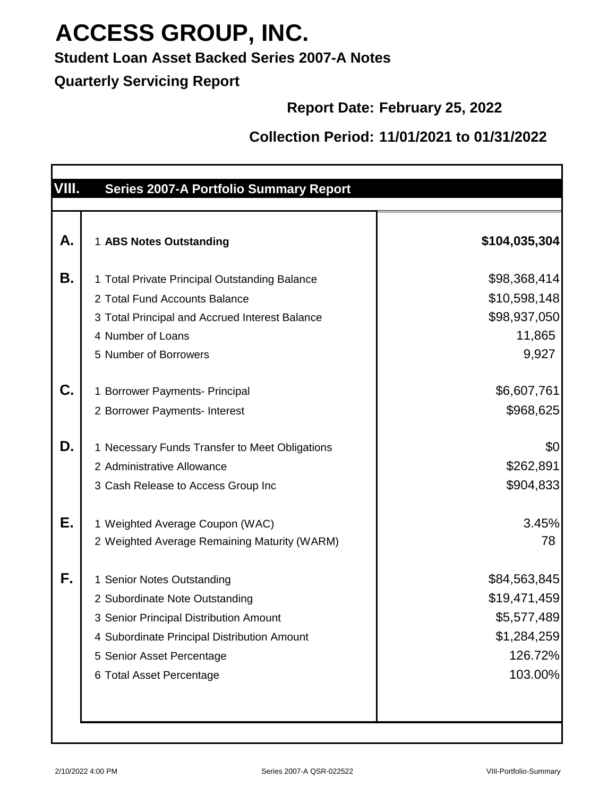### **Student Loan Asset Backed Series 2007-A Notes**

#### **Quarterly Servicing Report**

### **Report Date: February 25, 2022**

| VIII. | <b>Series 2007-A Portfolio Summary Report</b>                                                                                                                                                                  |                                                                                  |
|-------|----------------------------------------------------------------------------------------------------------------------------------------------------------------------------------------------------------------|----------------------------------------------------------------------------------|
| А.    | 1 ABS Notes Outstanding                                                                                                                                                                                        | \$104,035,304                                                                    |
| Β.    | 1 Total Private Principal Outstanding Balance<br>2 Total Fund Accounts Balance<br>3 Total Principal and Accrued Interest Balance<br>4 Number of Loans<br>5 Number of Borrowers                                 | \$98,368,414<br>\$10,598,148<br>\$98,937,050<br>11,865<br>9,927                  |
| C.    | 1 Borrower Payments- Principal<br>2 Borrower Payments- Interest                                                                                                                                                | \$6,607,761<br>\$968,625                                                         |
| D.    | 1 Necessary Funds Transfer to Meet Obligations<br>2 Administrative Allowance<br>3 Cash Release to Access Group Inc                                                                                             | \$0<br>\$262,891<br>\$904,833                                                    |
| Е.    | 1 Weighted Average Coupon (WAC)<br>2 Weighted Average Remaining Maturity (WARM)                                                                                                                                | 3.45%<br>78                                                                      |
| F.    | 1 Senior Notes Outstanding<br>2 Subordinate Note Outstanding<br>3 Senior Principal Distribution Amount<br>4 Subordinate Principal Distribution Amount<br>5 Senior Asset Percentage<br>6 Total Asset Percentage | \$84,563,845<br>\$19,471,459<br>\$5,577,489<br>\$1,284,259<br>126.72%<br>103.00% |